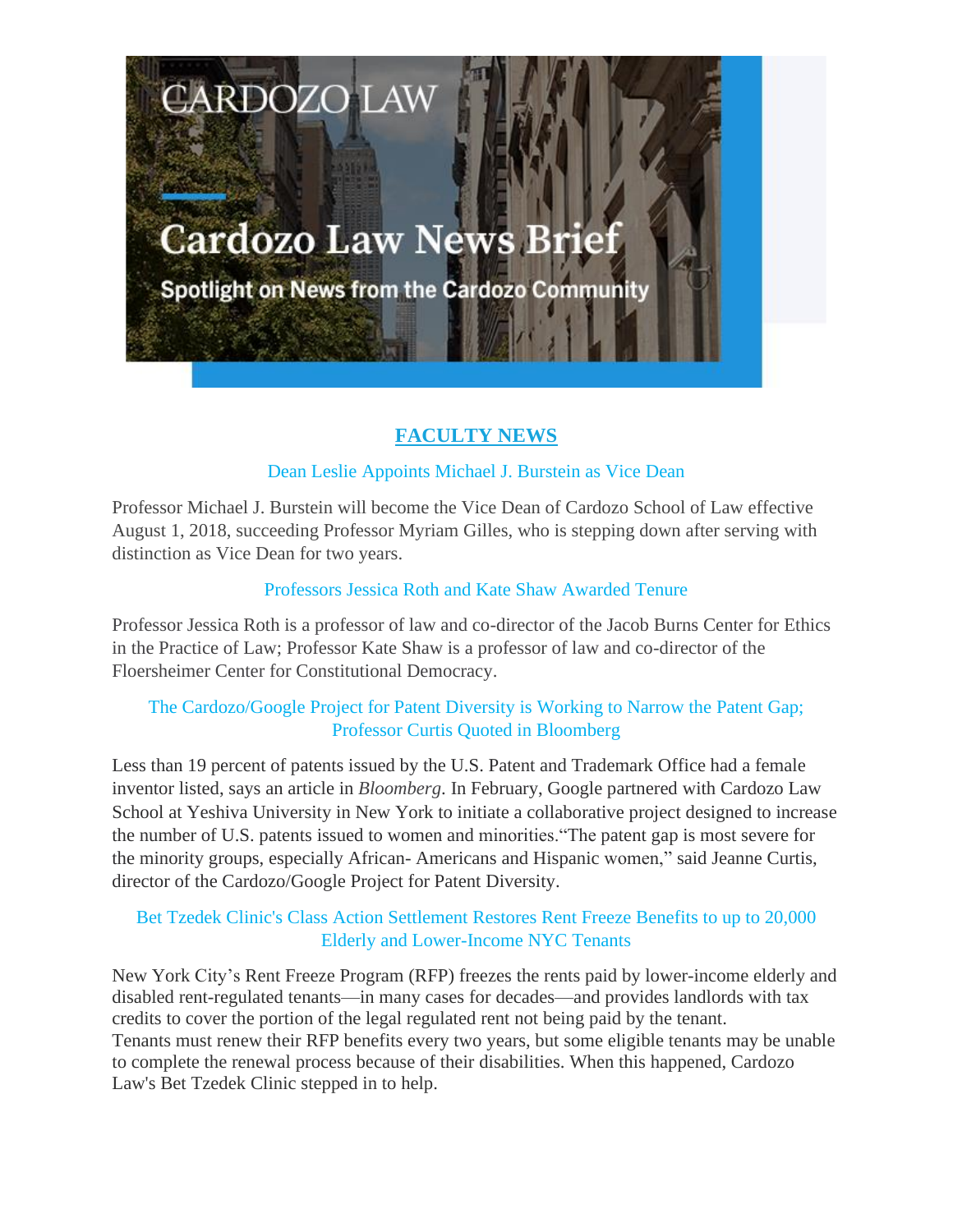# **Cardozo Law News Brief**

**CARDOZO LAW** 

**Spotlight on News from the Cardozo Community** 

## **FACULTY NEWS**

## Dean Leslie Appoints Michael J. Burstein as Vice Dean

Professor Michael J. Burstein will become the Vice Dean of Cardozo School of Law effective August 1, 2018, succeeding Professor Myriam Gilles, who is stepping down after serving with distinction as Vice Dean for two years.

## Professors Jessica Roth and Kate Shaw Awarded Tenure

Professor Jessica Roth is a professor of law and co-director of the Jacob Burns Center for Ethics in the Practice of Law; Professor Kate Shaw is a professor of law and co-director of the Floersheimer Center for Constitutional Democracy.

## The Cardozo/Google Project for Patent Diversity is Working to Narrow the Patent Gap; Professor Curtis Quoted in Bloomberg

Less than 19 percent of patents issued by the U.S. Patent and Trademark Office had a female inventor listed, says an article in *Bloomberg*. In February, Google partnered with Cardozo Law School at Yeshiva University in New York to initiate a collaborative project designed to increase the number of U.S. patents issued to women and minorities."The patent gap is most severe for the minority groups, especially African- Americans and Hispanic women," said Jeanne Curtis, director of the Cardozo/Google Project for Patent Diversity.

## Bet Tzedek Clinic's Class Action Settlement Restores Rent Freeze Benefits to up to 20,000 Elderly and Lower-Income NYC Tenants

New York City's Rent Freeze Program (RFP) freezes the rents paid by lower-income elderly and disabled rent-regulated tenants—in many cases for decades—and provides landlords with tax credits to cover the portion of the legal regulated rent not being paid by the tenant. Tenants must renew their RFP benefits every two years, but some eligible tenants may be unable to complete the renewal process because of their disabilities. When this happened, Cardozo Law's Bet Tzedek Clinic stepped in to help.